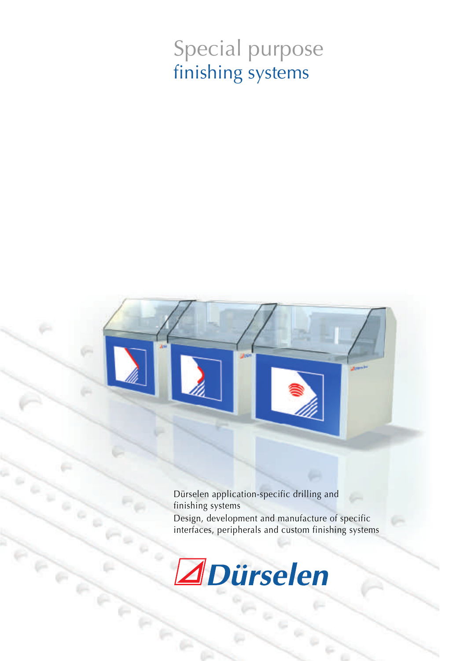# Special purpose finishing systems

Dürselen application-specific drilling and finishing systems Design, development and manufacture of specific interfaces, peripherals and custom finishing systems



ö

 $\mathcal{C}$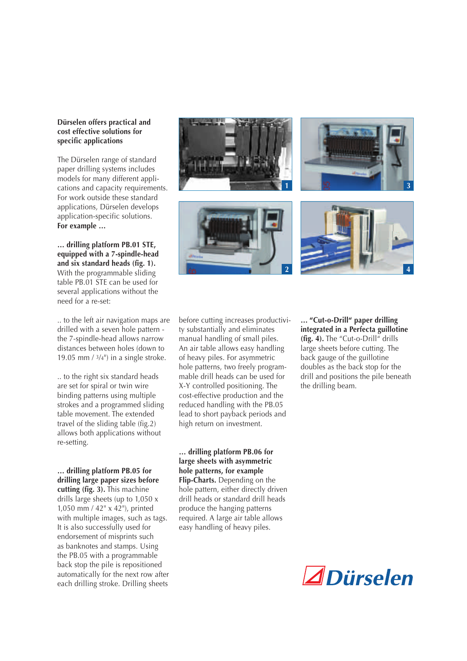#### **Dürselen offers practical and cost effective solutions for specific applications**

The Dürselen range of standard paper drilling systems includes models for many different applications and capacity requirements. For work outside these standard applications, Dürselen develops application-specific solutions. **For example …**

**… drilling platform PB.01 STE, equipped with a 7-spindle-head and six standard heads (fig. 1).** With the programmable sliding table PB.01 STE can be used for several applications without the need for a re-set:

.. to the left air navigation maps are drilled with a seven hole pattern the 7-spindle-head allows narrow distances between holes (down to 19.05 mm  $/3/4$ ") in a single stroke.

.. to the right six standard heads are set for spiral or twin wire binding patterns using multiple strokes and a programmed sliding table movement. The extended travel of the sliding table (fig.2) allows both applications without re-setting.

**… drilling platform PB.05 for drilling large paper sizes before cutting (fig. 3).** This machine drills large sheets (up to 1,050 x 1,050 mm / 42" x 42"), printed with multiple images, such as tags. It is also successfully used for endorsement of misprints such as banknotes and stamps. Using the PB.05 with a programmable back stop the pile is repositioned automatically for the next row after each drilling stroke. Drilling sheets



before cutting increases productivity substantially and eliminates manual handling of small piles. An air table allows easy handling of heavy piles. For asymmetric hole patterns, two freely programmable drill heads can be used for X-Y controlled positioning. The cost-effective production and the reduced handling with the PB.05 lead to short payback periods and high return on investment.

**… drilling platform PB.06 for large sheets with asymmetric hole patterns, for example Flip-Charts.** Depending on the hole pattern, either directly driven drill heads or standard drill heads produce the hanging patterns required. A large air table allows easy handling of heavy piles.

**… "Cut-o-Drill" paper drilling integrated in a Perfecta guillotine (fig. 4).** The "Cut-o-Drill" drills large sheets before cutting. The back gauge of the guillotine doubles as the back stop for the drill and positions the pile beneath the drilling beam.

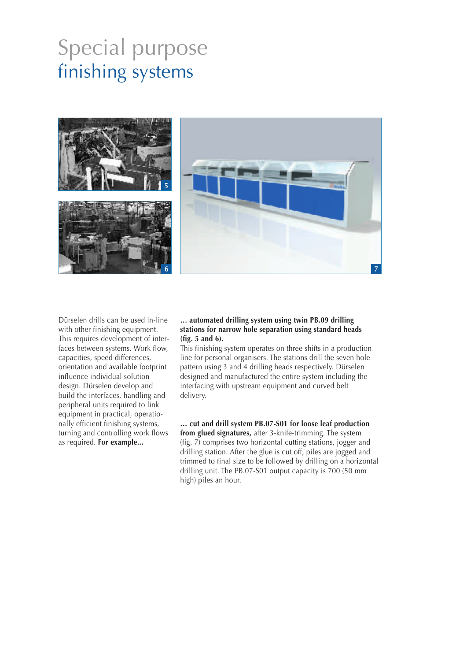## Special purpose finishing systems



Dürselen drills can be used in-line with other finishing equipment. This requires development of interfaces between systems. Work flow, capacities, speed differences, orientation and available footprint influence individual solution design. Dürselen develop and build the interfaces, handling and peripheral units required to link equipment in practical, operationally efficient finishing systems, turning and controlling work flows as required. **For example...**

#### **… automated drilling system using twin PB.09 drilling stations for narrow hole separation using standard heads (fig. 5 and 6).**

This finishing system operates on three shifts in a production line for personal organisers. The stations drill the seven hole pattern using 3 and 4 drilling heads respectively. Dürselen designed and manufactured the entire system including the interfacing with upstream equipment and curved belt delivery.

**… cut and drill system PB.07-S01 for loose leaf production from glued signatures,** after 3-knife-trimming. The system (fig. 7) comprises two horizontal cutting stations, jogger and drilling station. After the glue is cut off, piles are jogged and trimmed to final size to be followed by drilling on a horizontal drilling unit. The PB.07-S01 output capacity is 700 (50 mm high) piles an hour.